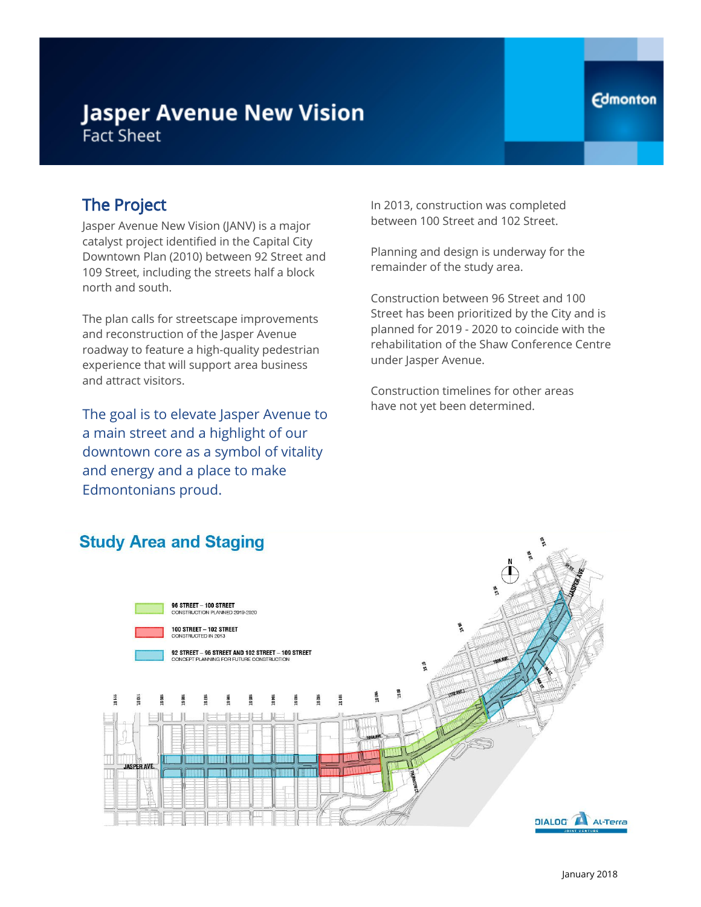# **Jasper Avenue New Vision Fact Sheet**

### The Project

Jasper Avenue New Vision (JANV) is a major catalyst project identified in the Capital City Downtown Plan (2010) between 92 Street and 109 Street, including the streets half a block north and south.

The plan calls for streetscape improvements and reconstruction of the Jasper Avenue roadway to feature a high-quality pedestrian experience that will support area business and attract visitors.

The goal is to elevate Jasper Avenue to a main street and a highlight of our downtown core as a symbol of vitality and energy and a place to make Edmontonians proud.

In 2013, construction was completed between 100 Street and 102 Street.

Planning and design is underway for the remainder of the study area.

Construction between 96 Street and 100 Street has been prioritized by the City and is planned for 2019 - 2020 to coincide with the rehabilitation of the Shaw Conference Centre under Jasper Avenue.

Construction timelines for other areas have not yet been determined.



#### **Edmonton**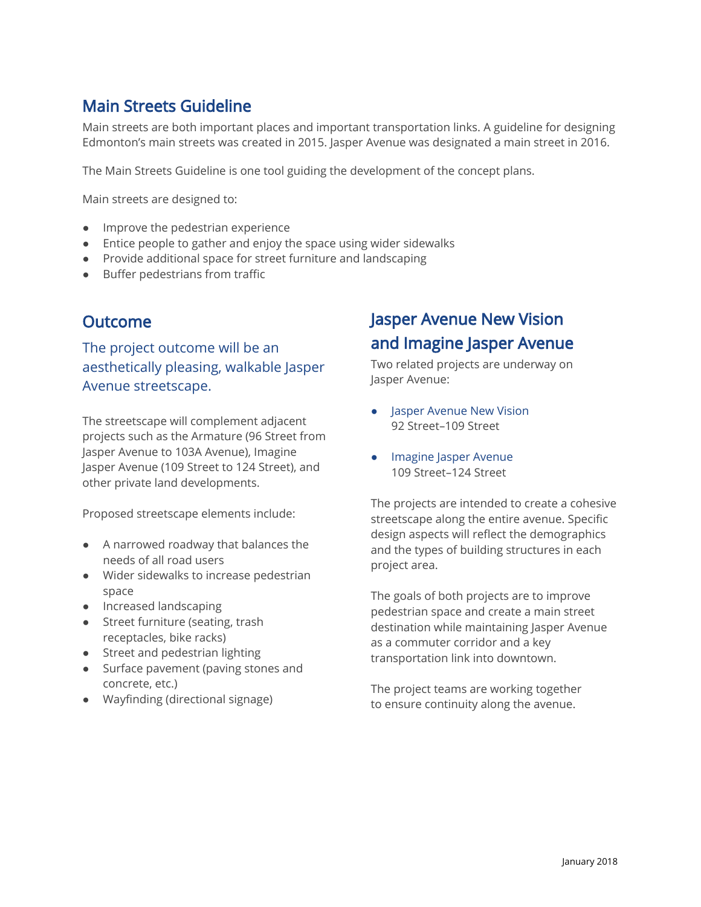### Main Streets Guideline

Main streets are both important places and important transportation links. A guideline for designing Edmonton's main streets was created in 2015. Jasper Avenue was designated a main street in 2016.

The Main Streets Guideline is one tool guiding the development of the concept plans.

Main streets are designed to:

- Improve the pedestrian experience
- Entice people to gather and enjoy the space using wider sidewalks
- Provide additional space for street furniture and landscaping
- Buffer pedestrians from traffic

### **Outcome**

The project outcome will be an aesthetically pleasing, walkable Jasper Avenue streetscape.

The streetscape will complement adjacent projects such as the Armature (96 Street from Jasper Avenue to 103A Avenue), Imagine Jasper Avenue (109 Street to 124 Street), and other private land developments.

Proposed streetscape elements include:

- A narrowed roadway that balances the needs of all road users
- Wider sidewalks to increase pedestrian space
- Increased landscaping
- Street furniture (seating, trash receptacles, bike racks)
- Street and pedestrian lighting
- Surface pavement (paving stones and concrete, etc.)
- Wayfinding (directional signage)

# Jasper Avenue New Vision and Imagine Jasper Avenue

Two related projects are underway on Jasper Avenue:

- Jasper Avenue New Vision 92 Street–109 Street
- Imagine Jasper Avenue 109 Street–124 Street

The projects are intended to create a cohesive streetscape along the entire avenue. Specific design aspects will reflect the demographics and the types of building structures in each project area.

The goals of both projects are to improve pedestrian space and create a main street destination while maintaining Jasper Avenue as a commuter corridor and a key transportation link into downtown.

The project teams are working together to ensure continuity along the avenue.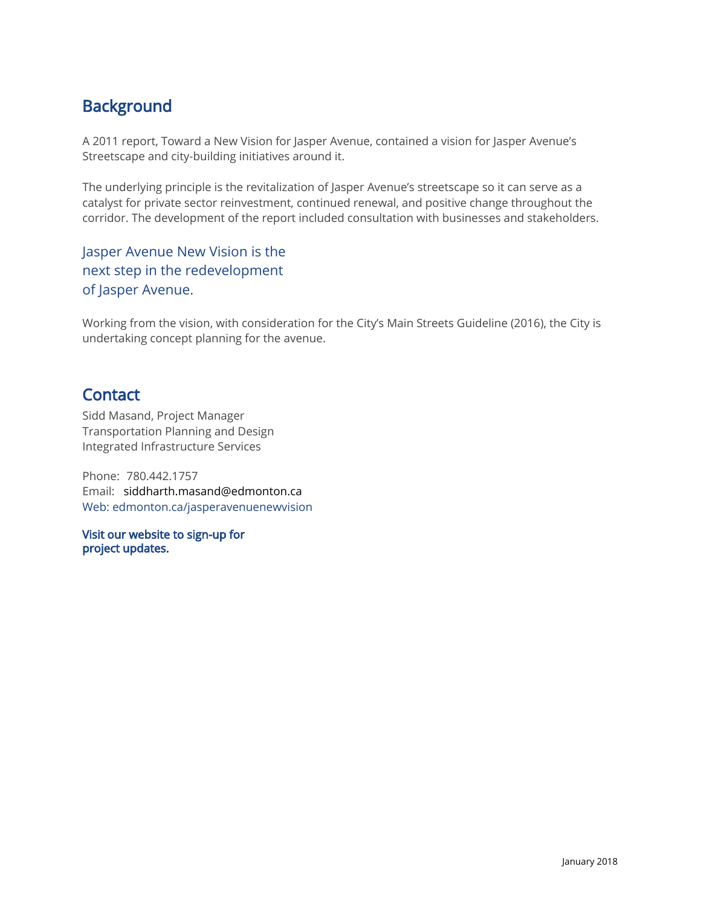## **Background**

A 2011 report, Toward a New Vision for Jasper Avenue, contained a vision for Jasper Avenue's Streetscape and city-building initiatives around it.

The underlying principle is the revitalization of Jasper Avenue's streetscape so it can serve as a catalyst for private sector reinvestment, continued renewal, and positive change throughout the corridor. The development of the report included consultation with businesses and stakeholders.

Jasper Avenue New Vision is the next step in the redevelopment of Jasper Avenue.

Working from the vision, with consideration for the City's Main Streets Guideline (2016), the City is undertaking concept planning for the avenue.

### **Contact**

Sidd Masand, Project Manager Transportation Planning and Design Integrated Infrastructure Services

Phone: 780.442.1757 Email: [siddharth.masand@edmonton.ca](mailto:siddharth.masand@edmonton.ca) Web: edmonton.ca/jasperavenuenewvision

 Visit our website to sign-up for project updates.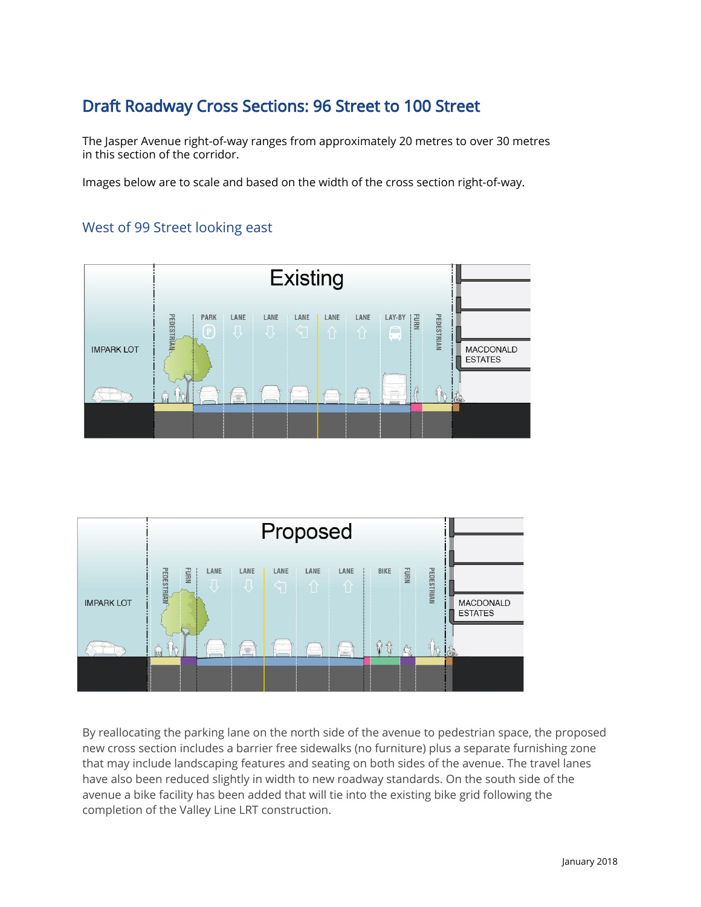## Draft Roadway Cross Sections: 96 Street to 100 Street

The Jasper Avenue right-of-way ranges from approximately 20 metres to over 30 metres in this section of the corridor.

Images below are to scale and based on the width of the cross section right-of-way.

#### West of 99 Street looking east





By reallocating the parking lane on the north side of the avenue to pedestrian space, the proposed new cross section includes a barrier free sidewalks (no furniture) plus a separate furnishing zone that may include landscaping features and seating on both sides of the avenue. The travel lanes have also been reduced slightly in width to new roadway standards. On the south side of the avenue a bike facility has been added that will tie into the existing bike grid following the completion of the Valley Line LRT construction.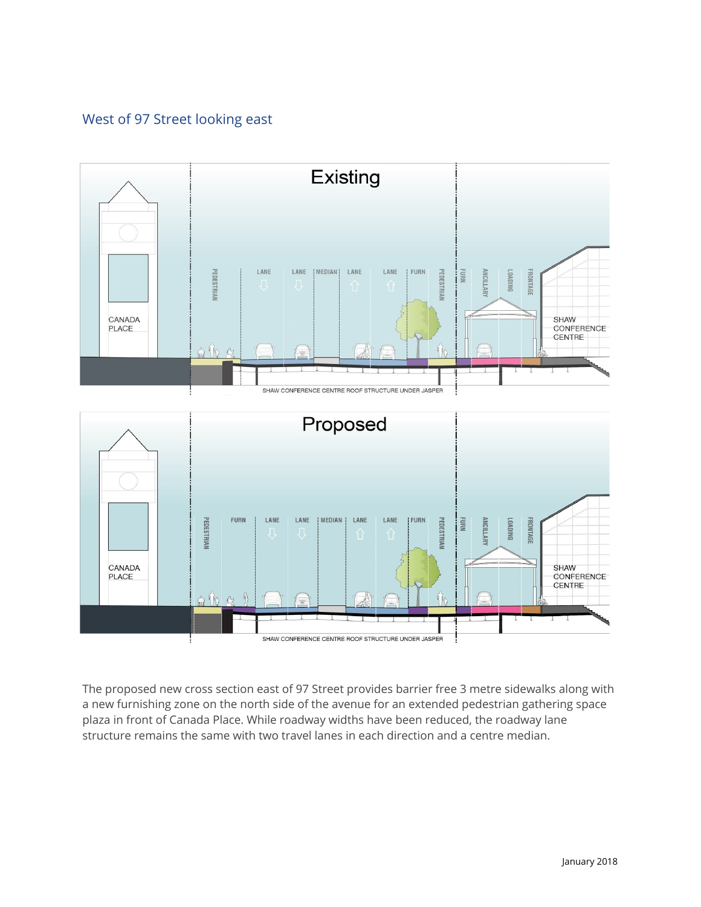#### West of 97 Street looking east



The proposed new cross section east of 97 Street provides barrier free 3 metre sidewalks along with a new furnishing zone on the north side of the avenue for an extended pedestrian gathering space plaza in front of Canada Place. While roadway widths have been reduced, the roadway lane structure remains the same with two travel lanes in each direction and a centre median.